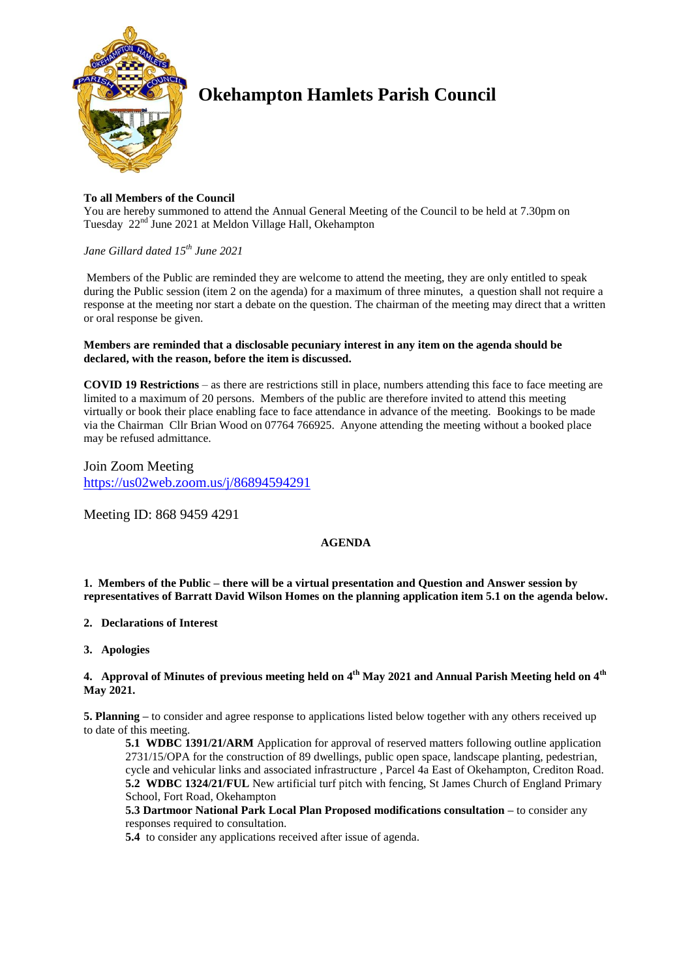

# **Okehampton Hamlets Parish Council**

## **To all Members of the Council**

You are hereby summoned to attend the Annual General Meeting of the Council to be held at 7.30pm on Tuesday 22<sup>nd</sup> June 2021 at Meldon Village Hall, Okehampton

# *Jane Gillard dated 15th June 2021*

Members of the Public are reminded they are welcome to attend the meeting, they are only entitled to speak during the Public session (item 2 on the agenda) for a maximum of three minutes, a question shall not require a response at the meeting nor start a debate on the question. The chairman of the meeting may direct that a written or oral response be given.

## **Members are reminded that a disclosable pecuniary interest in any item on the agenda should be declared, with the reason, before the item is discussed.**

**COVID 19 Restrictions** – as there are restrictions still in place, numbers attending this face to face meeting are limited to a maximum of 20 persons. Members of the public are therefore invited to attend this meeting virtually or book their place enabling face to face attendance in advance of the meeting. Bookings to be made via the Chairman Cllr Brian Wood on 07764 766925. Anyone attending the meeting without a booked place may be refused admittance.

Join Zoom Meeting <https://us02web.zoom.us/j/86894594291>

Meeting ID: 868 9459 4291

# **AGENDA**

**1. Members of the Public – there will be a virtual presentation and Question and Answer session by representatives of Barratt David Wilson Homes on the planning application item 5.1 on the agenda below.**

## **2. Declarations of Interest**

**3. Apologies**

## **4. Approval of Minutes of previous meeting held on 4 th May 2021 and Annual Parish Meeting held on 4th May 2021.**

**5. Planning –** to consider and agree response to applications listed below together with any others received up to date of this meeting.

**5.1 WDBC 1391/21/ARM** Application for approval of reserved matters following outline application 2731/15/OPA for the construction of 89 dwellings, public open space, landscape planting, pedestrian, cycle and vehicular links and associated infrastructure , Parcel 4a East of Okehampton, Crediton Road. **5.2 WDBC 1324/21/FUL** New artificial turf pitch with fencing, St James Church of England Primary School, Fort Road, Okehampton

**5.3 Dartmoor National Park Local Plan Proposed modifications consultation –** to consider any responses required to consultation.

**5.4** to consider any applications received after issue of agenda.